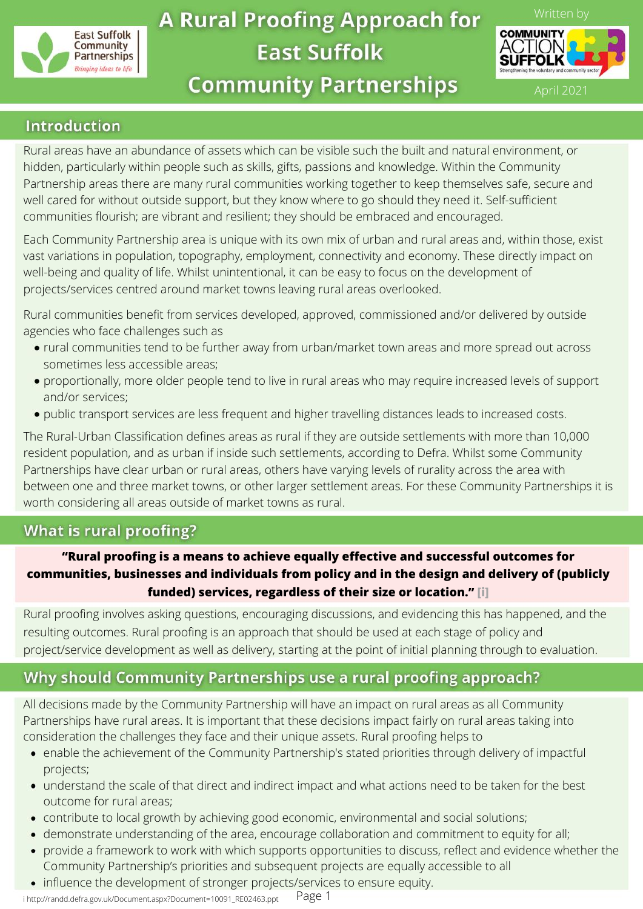

# **A Rural Proofing Approach for East Suffolk**



**Community Partnerships** 

April 2021

# **Introduction**

Rural areas have an abundance of assets which can be visible such the built and natural environment, or hidden, particularly within people such as skills, gifts, passions and knowledge. Within the Community Partnership areas there are many rural communities working together to keep themselves safe, secure and well cared for without outside support, but they know where to go should they need it. Self-sufficient communities flourish; are vibrant and resilient; they should be embraced and encouraged.

Each Community Partnership area is unique with its own mix of urban and rural areas and, within those, exist vast variations in population, topography, employment, connectivity and economy. These directly impact on well-being and quality of life. Whilst unintentional, it can be easy to focus on the development of projects/services centred around market towns leaving rural areas overlooked.

Rural communities benefit from services developed, approved, commissioned and/or delivered by outside agencies who face challenges such as

- rural communities tend to be further away from urban/market town areas and more spread out across sometimes less accessible areas;
- proportionally, more older people tend to live in rural areas who may require increased levels of support and/or services;
- public transport services are less frequent and higher travelling distances leads to increased costs.

The Rural-Urban Classification defines areas as rural if they are outside settlements with more than 10,000 resident population, and as urban if inside such settlements, according to Defra. Whilst some Community Partnerships have clear urban or rural areas, others have varying levels of rurality across the area with between one and three market towns, or other larger settlement areas. For these Community Partnerships it is worth considering all areas outside of market towns as rural.

# **What is rural proofing?**

# **"Rural proofing is a means to achieve equally effective and successful outcomes for communities, businesses and individuals from policy and in the design and delivery of (publicly funded) services, regardless of their size or location." [i]**

Rural proofing involves asking questions, encouraging discussions, and evidencing this has happened, and the resulting outcomes. Rural proofing is an approach that should be used at each stage of policy and project/service development as well as delivery, starting at the point of initial planning through to evaluation.

# Why should Community Partnerships use a rural proofing approach?

All decisions made by the Community Partnership will have an impact on rural areas as all Community Partnerships have rural areas. It is important that these decisions impact fairly on rural areas taking into consideration the challenges they face and their unique assets. Rural proofing helps to

- enable the achievement of the Community Partnership's stated priorities through delivery of impactful projects;
- understand the scale of that direct and indirect impact and what actions need to be taken for the best outcome for rural areas;
- contribute to local growth by achieving good economic, environmental and social solutions;
- demonstrate understanding of the area, encourage collaboration and commitment to equity for all;  $\bullet$
- provide a framework to work with which supports opportunities to discuss, reflect and evidence whether the  $\bullet$ Community Partnership's priorities and subsequent projects are equally accessible to all
- influence the development of stronger projects/services to ensure equity.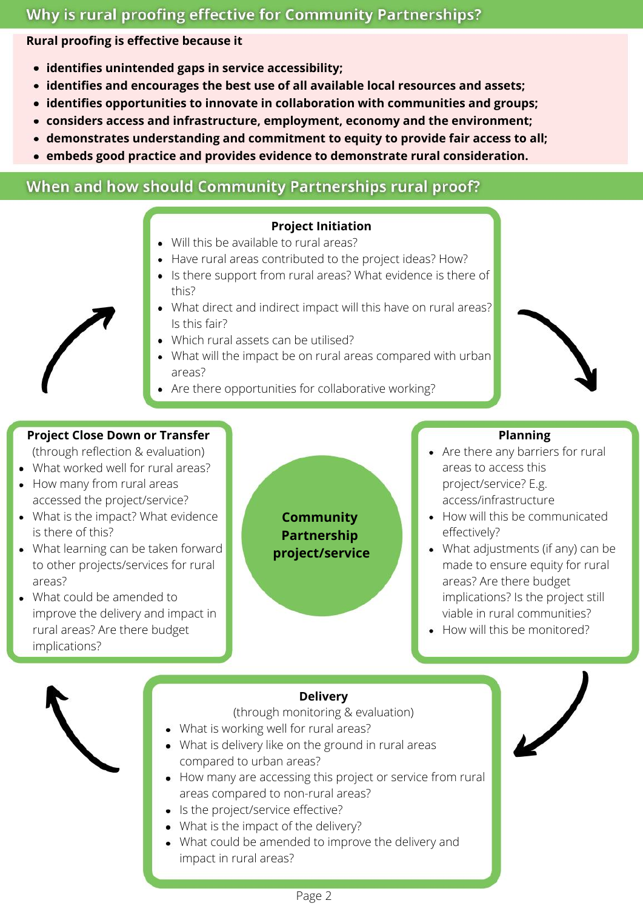# Why is rural proofing effective for Community Partnerships?

**Rural proofing is effective because it**

- **identifies unintended gaps in service accessibility;**
- **identifies and encourages the best use of all available local resources and assets;**
- **identifies opportunities to innovate in collaboration with communities and groups;**
- **considers access and infrastructure, employment, economy and the environment;**
- **demonstrates understanding and commitment to equity to provide fair access to all;**
- **embeds good practice and provides evidence to demonstrate rural consideration.**

# When and how should Community Partnerships rural proof?

#### **Project Initiation** Will this be available to rural areas?

- Have rural areas contributed to the project ideas? How?
- Is there support from rural areas? What evidence is there of this?
- What direct and indirect impact will this have on rural areas? Is this fair?
- Which rural assets can be utilised?
- What will the impact be on rural areas compared with urban areas?
- Are there opportunities for collaborative working?

# **Project Close Down or Transfer**

(through reflection & evaluation)

- What worked well for rural areas?
- How many from rural areas accessed the project/service?
- What is the impact? What evidence is there of this?
- What learning can be taken forward to other projects/services for rural areas?
- What could be amended to improve the delivery and impact in rural areas? Are there budget implications?

**Community Partnership project/service**

## **Planning**

- Are there any barriers for rural areas to access this project/service? E.g. access/infrastructure
- How will this be communicated effectively?
- What adjustments (if any) can be made to ensure equity for rural areas? Are there budget implications? Is the project still viable in rural communities?
- How will this be monitored?

# **Delivery**

(through monitoring & evaluation)

- What is working well for rural areas?
- What is delivery like on the ground in rural areas compared to urban areas?
- How many are accessing this project or service from rural areas compared to non-rural areas?
- Is the project/service effective?
- What is the impact of the delivery?
- What could be amended to improve the delivery and impact in rural areas?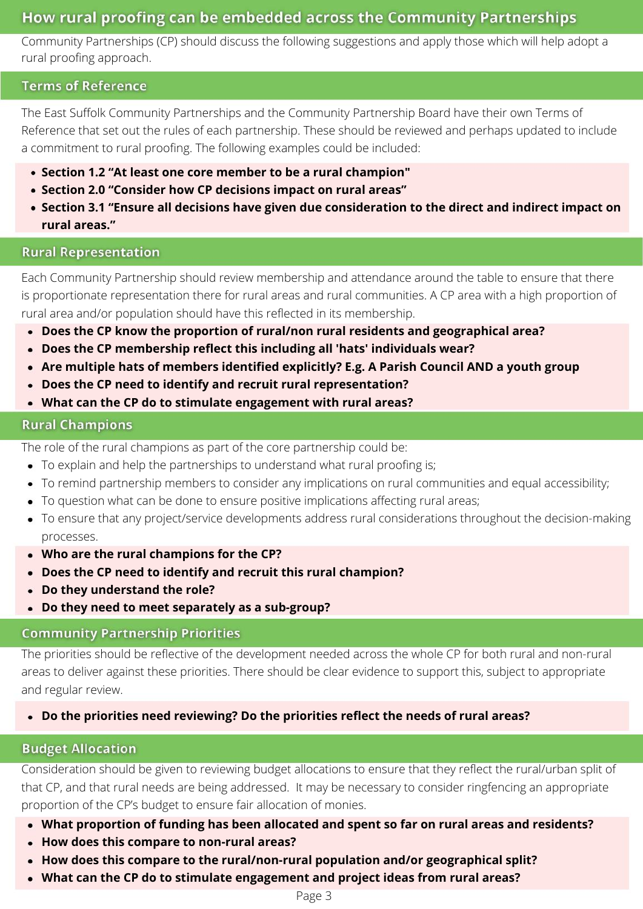# How rural proofing can be embedded across the Community Partnerships

Community Partnerships (CP) should discuss the following suggestions and apply those which will help adopt a rural proofing approach.

#### **Terms of Reference**

The East Suffolk Community Partnerships and the Community Partnership Board have their own Terms of Reference that set out the rules of each partnership. These should be reviewed and perhaps updated to include a commitment to rural proofing. The following examples could be included:

- **Section 1.2 "At least one core member to be a rural champion"**
- **Section 2.0 "Consider how CP decisions impact on rural areas"**
- **Section 3.1 "Ensure all decisions have given due consideration to the direct and indirect impact on rural areas."**

#### **Rural Representation**

Each Community Partnership should review membership and attendance around the table to ensure that there is proportionate representation there for rural areas and rural communities. A CP area with a high proportion of rural area and/or population should have this reflected in its membership.

- **Does the CP know the proportion of rural/non rural residents and geographical area?**
- **Does the CP membership reflect this including all 'hats' individuals wear?**
- **Are multiple hats of members identified explicitly? E.g. A Parish Council AND a youth group**
- **Does the CP need to identify and recruit rural representation?**
- **What can the CP do to stimulate engagement with rural areas?**

## **Rural Champions**

The role of the rural champions as part of the core partnership could be:

- To explain and help the partnerships to understand what rural proofing is;
- To remind partnership members to consider any implications on rural communities and equal accessibility;
- To question what can be done to ensure positive implications affecting rural areas;
- To ensure that any project/service developments address rural considerations throughout the decision-making processes.
- **Who are the rural champions for the CP?**
- **Does the CP need to identify and recruit this rural champion?**
- **Do they understand the role?**
- **Do they need to meet separately as a sub-group?**

## **Community Partnership Priorities**

The priorities should be reflective of the development needed across the whole CP for both rural and non-rural areas to deliver against these priorities. There should be clear evidence to support this, subject to appropriate and regular review.

**Do the priorities need reviewing? Do the priorities reflect the needs of rural areas?**

## **Budget Allocation**

Consideration should be given to reviewing budget allocations to ensure that they reflect the rural/urban split of that CP, and that rural needs are being addressed. It may be necessary to consider ringfencing an appropriate proportion of the CP's budget to ensure fair allocation of monies.

- **What proportion of funding has been allocated and spent so far on rural areas and residents?**
- **How does this compare to non-rural areas?**
- **How does this compare to the rural/non-rural population and/or geographical split?**
- **What can the CP do to stimulate engagement and project ideas from rural areas?**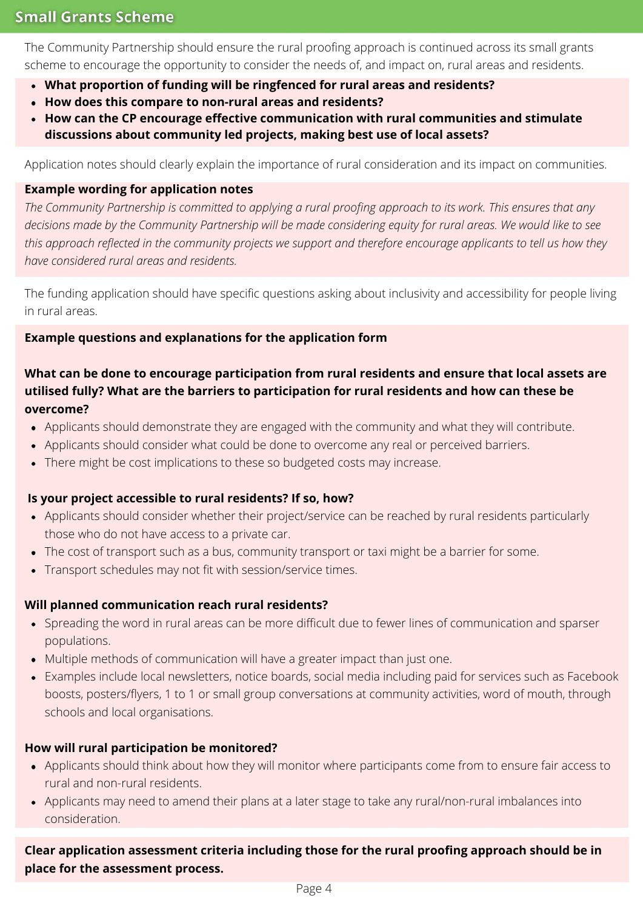# **Small Grants Scheme**

The Community Partnership should ensure the rural proofing approach is continued across its small grants scheme to encourage the opportunity to consider the needs of, and impact on, rural areas and residents.

- **What proportion of funding will be ringfenced for rural areas and residents?**
- **How does this compare to non-rural areas and residents?**
- **How can the CP encourage effective communication with rural communities and stimulate discussions about community led projects, making best use of local assets?**

Application notes should clearly explain the importance of rural consideration and its impact on communities.

## **Example wording for application notes**

The Community Partnership is committed to applying a rural proofing approach to its work. This ensures that any decisions made by the Community Partnership will be made considering equity for rural areas. We would like to see this approach reflected in the community projects we support and therefore encourage applicants to tell us how they *have considered rural areas and residents.*

The funding application should have specific questions asking about inclusivity and accessibility for people living in rural areas.

## **Example questions and explanations for the application form**

# **What can be done to encourage participation from rural residents and ensure that local assets are utilised fully? What are the barriers to participation for rural residents and how can these be overcome?**

- Applicants should demonstrate they are engaged with the community and what they will contribute.
- Applicants should consider what could be done to overcome any real or perceived barriers.
- There might be cost implications to these so budgeted costs may increase.

## **Is your project accessible to rural residents? If so, how?**

- Applicants should consider whether their project/service can be reached by rural residents particularly those who do not have access to a private car.
- The cost of transport such as a bus, community transport or taxi might be a barrier for some.
- Transport schedules may not fit with session/service times.

## **Will planned communication reach rural residents?**

- Spreading the word in rural areas can be more difficult due to fewer lines of communication and sparser populations.
- Multiple methods of communication will have a greater impact than just one.
- Examples include local newsletters, notice boards, social media including paid for services such as Facebook boosts, posters/flyers, 1 to 1 or small group conversations at community activities, word of mouth, through schools and local organisations.

## **How will rural participation be monitored?**

- Applicants should think about how they will monitor where participants come from to ensure fair access to rural and non-rural residents.
- Applicants may need to amend their plans at a later stage to take any rural/non-rural imbalances into consideration.

# **Clear application assessment criteria including those for the rural proofing approach should be in place for the assessment process.**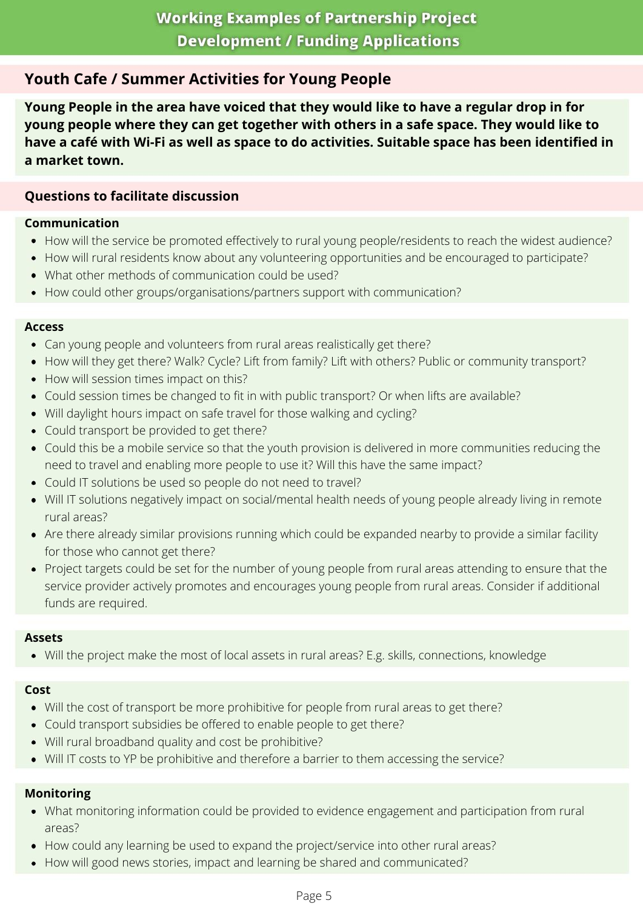# **Youth Cafe / Summer Activities for Young People**

**Young People in the area have voiced that they would like to have a regular drop in for young people where they can get together with others in a safe space. They would like to have a café with Wi-Fi as well as space to do activities. Suitable space has been identified in a market town.**

# **Questions to facilitate discussion**

## **Communication**

- How will the service be promoted effectively to rural young people/residents to reach the widest audience?
- How will rural residents know about any volunteering opportunities and be encouraged to participate?
- What other methods of communication could be used?
- How could other groups/organisations/partners support with communication?

#### **Access**

- Can young people and volunteers from rural areas realistically get there?
- How will they get there? Walk? Cycle? Lift from family? Lift with others? Public or community transport?
- How will session times impact on this?
- Could session times be changed to fit in with public transport? Or when lifts are available?
- Will daylight hours impact on safe travel for those walking and cycling?
- Could transport be provided to get there?
- Could this be a mobile service so that the youth provision is delivered in more communities reducing the need to travel and enabling more people to use it? Will this have the same impact?
- Could IT solutions be used so people do not need to travel?
- Will IT solutions negatively impact on social/mental health needs of young people already living in remote rural areas?
- Are there already similar provisions running which could be expanded nearby to provide a similar facility for those who cannot get there?
- Project targets could be set for the number of young people from rural areas attending to ensure that the service provider actively promotes and encourages young people from rural areas. Consider if additional funds are required.

#### **Assets**

Will the project make the most of local assets in rural areas? E.g. skills, connections, knowledge

#### **Cost**

- Will the cost of transport be more prohibitive for people from rural areas to get there?
- Could transport subsidies be offered to enable people to get there?
- Will rural broadband quality and cost be prohibitive?
- Will IT costs to YP be prohibitive and therefore a barrier to them accessing the service?

#### **Monitoring**

- What monitoring information could be provided to evidence engagement and participation from rural areas?
- How could any learning be used to expand the project/service into other rural areas?
- How will good news stories, impact and learning be shared and communicated?